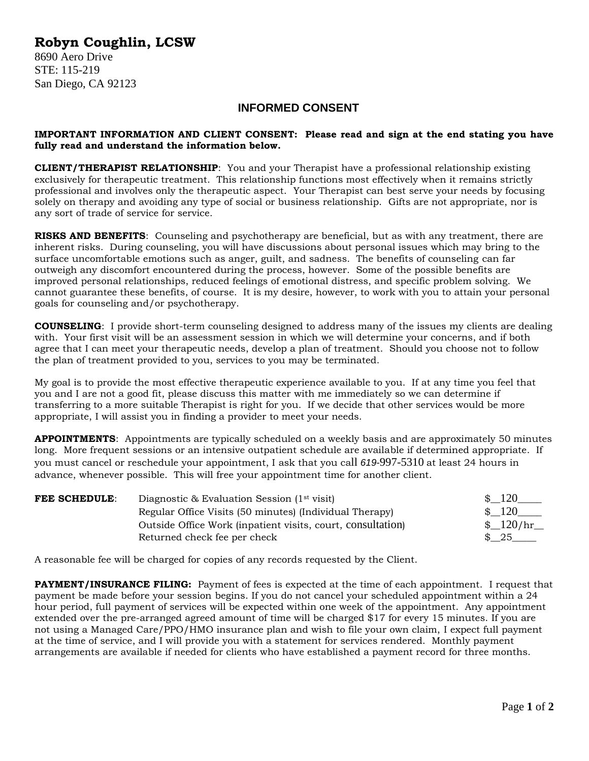## **Robyn Coughlin, LCSW**

8690 Aero Drive STE: 115-219 San Diego, CA 92123

## **INFORMED CONSENT**

## **IMPORTANT INFORMATION AND CLIENT CONSENT: Please read and sign at the end stating you have fully read and understand the information below.**

**CLIENT/THERAPIST RELATIONSHIP**: You and your Therapist have a professional relationship existing exclusively for therapeutic treatment. This relationship functions most effectively when it remains strictly professional and involves only the therapeutic aspect. Your Therapist can best serve your needs by focusing solely on therapy and avoiding any type of social or business relationship. Gifts are not appropriate, nor is any sort of trade of service for service.

**RISKS AND BENEFITS:** Counseling and psychotherapy are beneficial, but as with any treatment, there are inherent risks. During counseling, you will have discussions about personal issues which may bring to the surface uncomfortable emotions such as anger, guilt, and sadness. The benefits of counseling can far outweigh any discomfort encountered during the process, however. Some of the possible benefits are improved personal relationships, reduced feelings of emotional distress, and specific problem solving. We cannot guarantee these benefits, of course. It is my desire, however, to work with you to attain your personal goals for counseling and/or psychotherapy.

**COUNSELING**: I provide short-term counseling designed to address many of the issues my clients are dealing with. Your first visit will be an assessment session in which we will determine your concerns, and if both agree that I can meet your therapeutic needs, develop a plan of treatment. Should you choose not to follow the plan of treatment provided to you, services to you may be terminated.

My goal is to provide the most effective therapeutic experience available to you. If at any time you feel that you and I are not a good fit, please discuss this matter with me immediately so we can determine if transferring to a more suitable Therapist is right for you. If we decide that other services would be more appropriate, I will assist you in finding a provider to meet your needs.

**APPOINTMENTS**: Appointments are typically scheduled on a weekly basis and are approximately 50 minutes long. More frequent sessions or an intensive outpatient schedule are available if determined appropriate. If you must cancel or reschedule your appointment, I ask that you call *619-*997-5310 at least 24 hours in advance, whenever possible. This will free your appointment time for another client.

| <b>FEE SCHEDULE:</b> | Diagnostic & Evaluation Session $(1st visit)$               | $\frac{120}{ }$ |
|----------------------|-------------------------------------------------------------|-----------------|
|                      | Regular Office Visits (50 minutes) (Individual Therapy)     | \$120           |
|                      | Outside Office Work (inpatient visits, court, consultation) | \$120/hr        |
|                      | Returned check fee per check                                | $\frac{1}{25}$  |

A reasonable fee will be charged for copies of any records requested by the Client.

**PAYMENT/INSURANCE FILING:** Payment of fees is expected at the time of each appointment. I request that payment be made before your session begins. If you do not cancel your scheduled appointment within a 24 hour period, full payment of services will be expected within one week of the appointment. Any appointment extended over the pre-arranged agreed amount of time will be charged \$17 for every 15 minutes. If you are not using a Managed Care/PPO/HMO insurance plan and wish to file your own claim, I expect full payment at the time of service, and I will provide you with a statement for services rendered. Monthly payment arrangements are available if needed for clients who have established a payment record for three months.